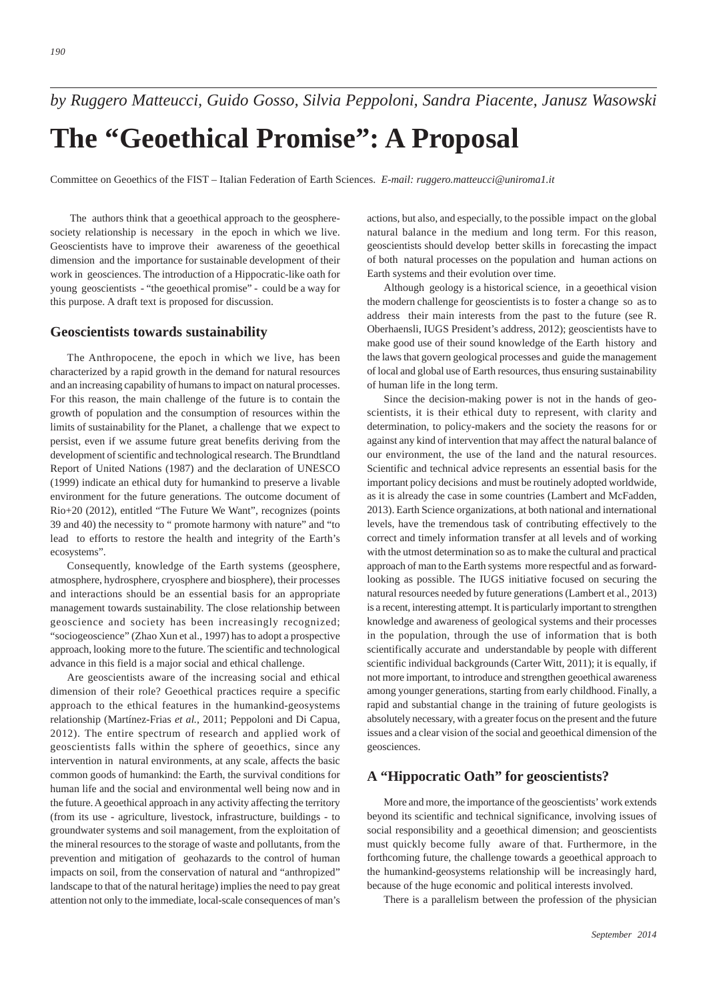*190*

*by Ruggero Matteucci, Guido Gosso, Silvia Peppoloni, Sandra Piacente, Janusz Wasowski*

# **The "Geoethical Promise": A Proposal**

Committee on Geoethics of the FIST – Italian Federation of Earth Sciences. *E-mail: ruggero.matteucci@uniroma1.it*

The authors think that a geoethical approach to the geospheresociety relationship is necessary in the epoch in which we live. Geoscientists have to improve their awareness of the geoethical dimension and the importance for sustainable development of their work in geosciences. The introduction of a Hippocratic-like oath for young geoscientists - "the geoethical promise" - could be a way for this purpose. A draft text is proposed for discussion.

## **Geoscientists towards sustainability**

The Anthropocene, the epoch in which we live, has been characterized by a rapid growth in the demand for natural resources and an increasing capability of humans to impact on natural processes. For this reason, the main challenge of the future is to contain the growth of population and the consumption of resources within the limits of sustainability for the Planet, a challenge that we expect to persist, even if we assume future great benefits deriving from the development of scientific and technological research. The Brundtland Report of United Nations (1987) and the declaration of UNESCO (1999) indicate an ethical duty for humankind to preserve a livable environment for the future generations. The outcome document of Rio+20 (2012), entitled "The Future We Want", recognizes (points 39 and 40) the necessity to " promote harmony with nature" and "to lead to efforts to restore the health and integrity of the Earth's ecosystems".

Consequently, knowledge of the Earth systems (geosphere, atmosphere, hydrosphere, cryosphere and biosphere), their processes and interactions should be an essential basis for an appropriate management towards sustainability. The close relationship between geoscience and society has been increasingly recognized; "sociogeoscience" (Zhao Xun et al., 1997) has to adopt a prospective approach, looking more to the future. The scientific and technological advance in this field is a major social and ethical challenge.

Are geoscientists aware of the increasing social and ethical dimension of their role? Geoethical practices require a specific approach to the ethical features in the humankind-geosystems relationship (Martínez-Frias *et al.*, 2011; Peppoloni and Di Capua, 2012). The entire spectrum of research and applied work of geoscientists falls within the sphere of geoethics, since any intervention in natural environments, at any scale, affects the basic common goods of humankind: the Earth, the survival conditions for human life and the social and environmental well being now and in the future. A geoethical approach in any activity affecting the territory (from its use - agriculture, livestock, infrastructure, buildings - to groundwater systems and soil management, from the exploitation of the mineral resources to the storage of waste and pollutants, from the prevention and mitigation of geohazards to the control of human impacts on soil, from the conservation of natural and "anthropized" landscape to that of the natural heritage) implies the need to pay great attention not only to the immediate, local-scale consequences of man's actions, but also, and especially, to the possible impact on the global natural balance in the medium and long term. For this reason, geoscientists should develop better skills in forecasting the impact of both natural processes on the population and human actions on Earth systems and their evolution over time.

Although geology is a historical science, in a geoethical vision the modern challenge for geoscientists is to foster a change so as to address their main interests from the past to the future (see R. Oberhaensli, IUGS President's address, 2012); geoscientists have to make good use of their sound knowledge of the Earth history and the laws that govern geological processes and guide the management of local and global use of Earth resources, thus ensuring sustainability of human life in the long term.

Since the decision-making power is not in the hands of geoscientists, it is their ethical duty to represent, with clarity and determination, to policy-makers and the society the reasons for or against any kind of intervention that may affect the natural balance of our environment, the use of the land and the natural resources. Scientific and technical advice represents an essential basis for the important policy decisions and must be routinely adopted worldwide, as it is already the case in some countries (Lambert and McFadden, 2013). Earth Science organizations, at both national and international levels, have the tremendous task of contributing effectively to the correct and timely information transfer at all levels and of working with the utmost determination so as to make the cultural and practical approach of man to the Earth systems more respectful and as forwardlooking as possible. The IUGS initiative focused on securing the natural resources needed by future generations (Lambert et al., 2013) is a recent, interesting attempt. It is particularly important to strengthen knowledge and awareness of geological systems and their processes in the population, through the use of information that is both scientifically accurate and understandable by people with different scientific individual backgrounds (Carter Witt, 2011); it is equally, if not more important, to introduce and strengthen geoethical awareness among younger generations, starting from early childhood. Finally, a rapid and substantial change in the training of future geologists is absolutely necessary, with a greater focus on the present and the future issues and a clear vision of the social and geoethical dimension of the geosciences.

## **A "Hippocratic Oath" for geoscientists?**

More and more, the importance of the geoscientists' work extends beyond its scientific and technical significance, involving issues of social responsibility and a geoethical dimension; and geoscientists must quickly become fully aware of that. Furthermore, in the forthcoming future, the challenge towards a geoethical approach to the humankind-geosystems relationship will be increasingly hard, because of the huge economic and political interests involved.

There is a parallelism between the profession of the physician